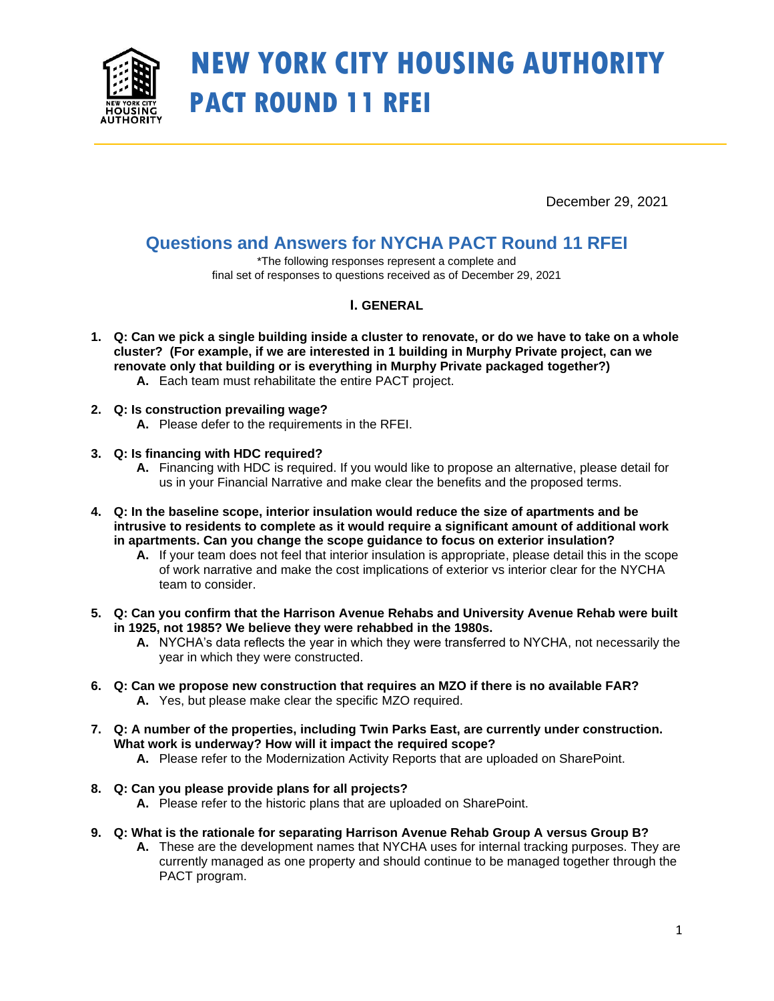

# **NEW YORK CITY HOUSING AUTHORITY PACT ROUND 11 RFEI**

December 29, 2021

## **Questions and Answers for NYCHA PACT Round 11 RFEI**

\*The following responses represent a complete and final set of responses to questions received as of December 29, 2021

### **I. GENERAL**

- **1. Q: Can we pick a single building inside a cluster to renovate, or do we have to take on a whole cluster? (For example, if we are interested in 1 building in Murphy Private project, can we renovate only that building or is everything in Murphy Private packaged together?) A.** Each team must rehabilitate the entire PACT project.
- **2. Q: Is construction prevailing wage?** 
	- **A.** Please defer to the requirements in the RFEI.
- **3. Q: Is financing with HDC required?** 
	- **A.** Financing with HDC is required. If you would like to propose an alternative, please detail for us in your Financial Narrative and make clear the benefits and the proposed terms.
- **4. Q: In the baseline scope, interior insulation would reduce the size of apartments and be intrusive to residents to complete as it would require a significant amount of additional work in apartments. Can you change the scope guidance to focus on exterior insulation?**
	- **A.** If your team does not feel that interior insulation is appropriate, please detail this in the scope of work narrative and make the cost implications of exterior vs interior clear for the NYCHA team to consider.
- **5. Q: Can you confirm that the Harrison Avenue Rehabs and University Avenue Rehab were built in 1925, not 1985? We believe they were rehabbed in the 1980s.** 
	- **A.** NYCHA's data reflects the year in which they were transferred to NYCHA, not necessarily the year in which they were constructed.
- **6. Q: Can we propose new construction that requires an MZO if there is no available FAR? A.** Yes, but please make clear the specific MZO required.
- **7. Q: A number of the properties, including Twin Parks East, are currently under construction. What work is underway? How will it impact the required scope?**
	- **A.** Please refer to the Modernization Activity Reports that are uploaded on SharePoint.
- **8. Q: Can you please provide plans for all projects?**
	- **A.** Please refer to the historic plans that are uploaded on SharePoint.
- **9. Q: What is the rationale for separating Harrison Avenue Rehab Group A versus Group B?**
	- **A.** These are the development names that NYCHA uses for internal tracking purposes. They are currently managed as one property and should continue to be managed together through the PACT program.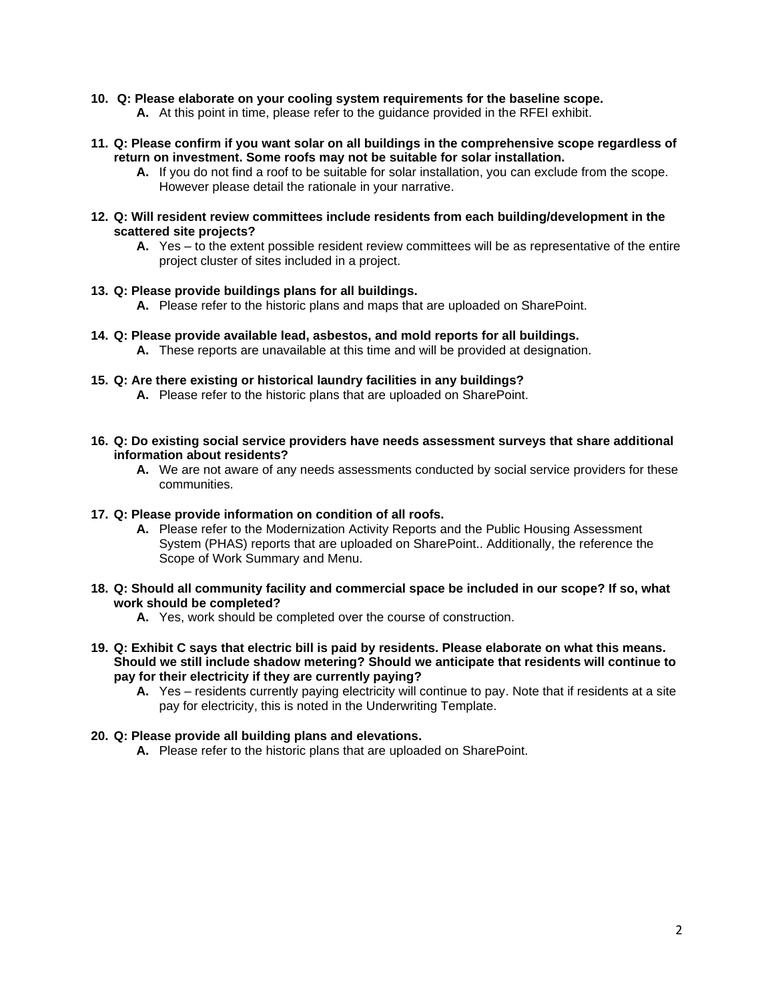#### **10. Q: Please elaborate on your cooling system requirements for the baseline scope.**

- **A.** At this point in time, please refer to the guidance provided in the RFEI exhibit.
- **11. Q: Please confirm if you want solar on all buildings in the comprehensive scope regardless of return on investment. Some roofs may not be suitable for solar installation.** 
	- **A.** If you do not find a roof to be suitable for solar installation, you can exclude from the scope. However please detail the rationale in your narrative.
- **12. Q: Will resident review committees include residents from each building/development in the scattered site projects?** 
	- **A.** Yes to the extent possible resident review committees will be as representative of the entire project cluster of sites included in a project.

#### **13. Q: Please provide buildings plans for all buildings.**

- **A.** Please refer to the historic plans and maps that are uploaded on SharePoint.
- **14. Q: Please provide available lead, asbestos, and mold reports for all buildings.** 
	- **A.** These reports are unavailable at this time and will be provided at designation.
- **15. Q: Are there existing or historical laundry facilities in any buildings?** 
	- **A.** Please refer to the historic plans that are uploaded on SharePoint.
- **16. Q: Do existing social service providers have needs assessment surveys that share additional information about residents?** 
	- **A.** We are not aware of any needs assessments conducted by social service providers for these communities.

#### **17. Q: Please provide information on condition of all roofs.**

- **A.** Please refer to the Modernization Activity Reports and the Public Housing Assessment System (PHAS) reports that are uploaded on SharePoint.. Additionally, the reference the Scope of Work Summary and Menu.
- **18. Q: Should all community facility and commercial space be included in our scope? If so, what work should be completed?** 
	- **A.** Yes, work should be completed over the course of construction.
- **19. Q: Exhibit C says that electric bill is paid by residents. Please elaborate on what this means. Should we still include shadow metering? Should we anticipate that residents will continue to pay for their electricity if they are currently paying?**
	- **A.** Yes residents currently paying electricity will continue to pay. Note that if residents at a site pay for electricity, this is noted in the Underwriting Template.

#### **20. Q: Please provide all building plans and elevations.**

**A.** Please refer to the historic plans that are uploaded on SharePoint.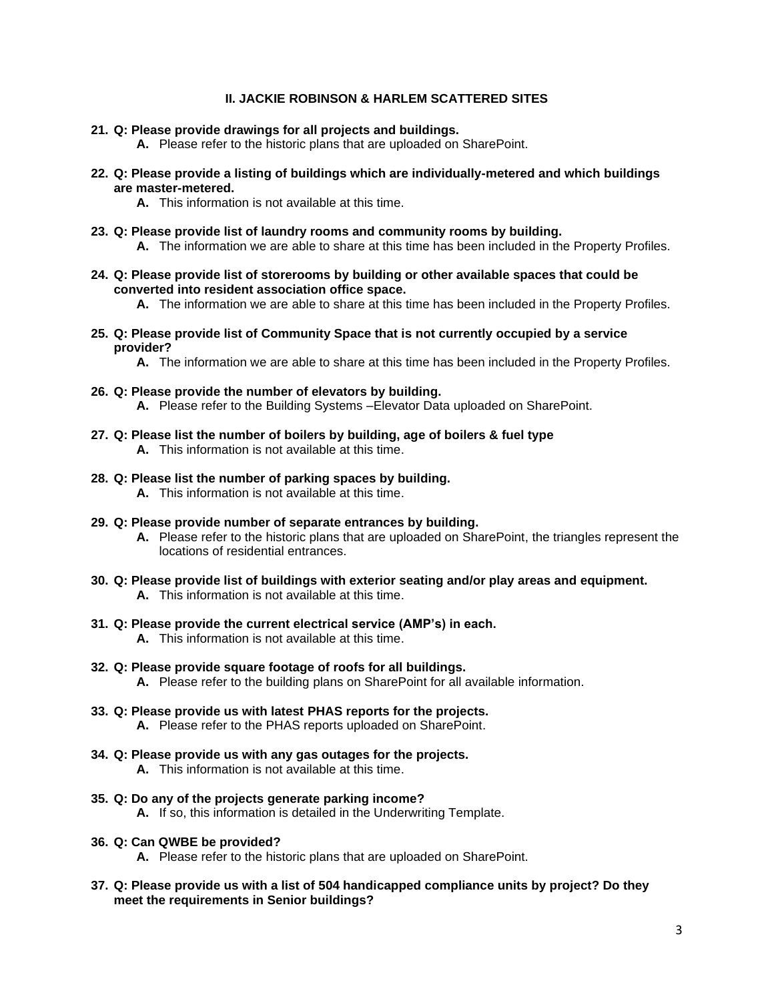#### **II. JACKIE ROBINSON & HARLEM SCATTERED SITES**

- **21. Q: Please provide drawings for all projects and buildings.**
	- **A.** Please refer to the historic plans that are uploaded on SharePoint.
- **22. Q: Please provide a listing of buildings which are individually-metered and which buildings are master-metered.**
	- **A.** This information is not available at this time.
- **23. Q: Please provide list of laundry rooms and community rooms by building. A.** The information we are able to share at this time has been included in the Property Profiles.
- **24. Q: Please provide list of storerooms by building or other available spaces that could be converted into resident association office space.**

**A.** The information we are able to share at this time has been included in the Property Profiles.

**25. Q: Please provide list of Community Space that is not currently occupied by a service provider?**

**A.** The information we are able to share at this time has been included in the Property Profiles.

- **26. Q: Please provide the number of elevators by building. A.** Please refer to the Building Systems –Elevator Data uploaded on SharePoint.
- **27. Q: Please list the number of boilers by building, age of boilers & fuel type A.** This information is not available at this time.
- **28. Q: Please list the number of parking spaces by building. A.** This information is not available at this time.
- **29. Q: Please provide number of separate entrances by building.**
	- **A.** Please refer to the historic plans that are uploaded on SharePoint, the triangles represent the locations of residential entrances.
- **30. Q: Please provide list of buildings with exterior seating and/or play areas and equipment.**
	- **A.** This information is not available at this time.
- **31. Q: Please provide the current electrical service (AMP's) in each.**

**A.** This information is not available at this time.

- **32. Q: Please provide square footage of roofs for all buildings. A.** Please refer to the building plans on SharePoint for all available information.
- **33. Q: Please provide us with latest PHAS reports for the projects. A.** Please refer to the PHAS reports uploaded on SharePoint.
- **34. Q: Please provide us with any gas outages for the projects.**
	- **A.** This information is not available at this time.
- **35. Q: Do any of the projects generate parking income?**
	- **A.** If so, this information is detailed in the Underwriting Template.
- **36. Q: Can QWBE be provided?**
	- **A.** Please refer to the historic plans that are uploaded on SharePoint.
- **37. Q: Please provide us with a list of 504 handicapped compliance units by project? Do they meet the requirements in Senior buildings?**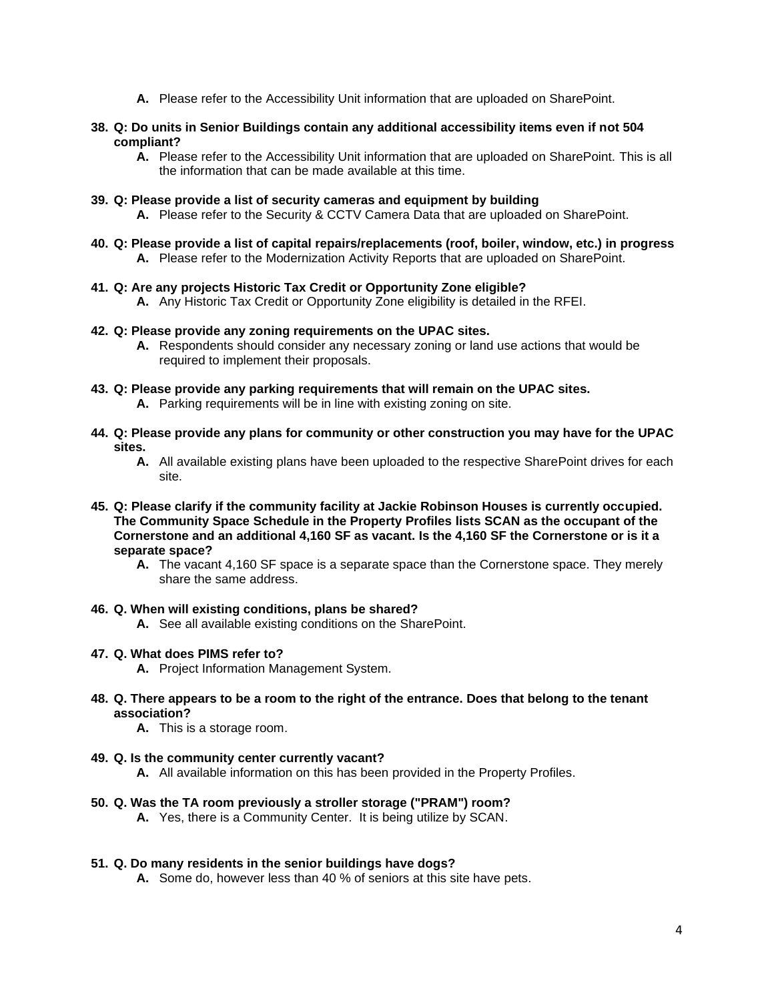- **A.** Please refer to the Accessibility Unit information that are uploaded on SharePoint.
- **38. Q: Do units in Senior Buildings contain any additional accessibility items even if not 504 compliant?**
	- **A.** Please refer to the Accessibility Unit information that are uploaded on SharePoint. This is all the information that can be made available at this time.
- **39. Q: Please provide a list of security cameras and equipment by building**
	- **A.** Please refer to the Security & CCTV Camera Data that are uploaded on SharePoint.
- **40. Q: Please provide a list of capital repairs/replacements (roof, boiler, window, etc.) in progress A.** Please refer to the Modernization Activity Reports that are uploaded on SharePoint.
- **41. Q: Are any projects Historic Tax Credit or Opportunity Zone eligible?**
	- **A.** Any Historic Tax Credit or Opportunity Zone eligibility is detailed in the RFEI.

#### **42. Q: Please provide any zoning requirements on the UPAC sites.**

- **A.** Respondents should consider any necessary zoning or land use actions that would be required to implement their proposals.
- **43. Q: Please provide any parking requirements that will remain on the UPAC sites.**
	- **A.** Parking requirements will be in line with existing zoning on site.
- **44. Q: Please provide any plans for community or other construction you may have for the UPAC sites.**
	- A. All available existing plans have been uploaded to the respective SharePoint drives for each site.
- **45. Q: Please clarify if the community facility at Jackie Robinson Houses is currently occupied. The Community Space Schedule in the Property Profiles lists SCAN as the occupant of the Cornerstone and an additional 4,160 SF as vacant. Is the 4,160 SF the Cornerstone or is it a separate space?**
	- **A.** The vacant 4,160 SF space is a separate space than the Cornerstone space. They merely share the same address.

#### **46. Q. When will existing conditions, plans be shared?**

**A.** See all available existing conditions on the SharePoint.

#### **47. Q. What does PIMS refer to?**

- **A.** Project Information Management System.
- **48. Q. There appears to be a room to the right of the entrance. Does that belong to the tenant association?**
	- **A.** This is a storage room.
- **49. Q. Is the community center currently vacant?**
	- **A.** All available information on this has been provided in the Property Profiles.
- **50. Q. Was the TA room previously a stroller storage ("PRAM") room?**
	- **A.** Yes, there is a Community Center. It is being utilize by SCAN.

#### **51. Q. Do many residents in the senior buildings have dogs?**

**A.** Some do, however less than 40 % of seniors at this site have pets.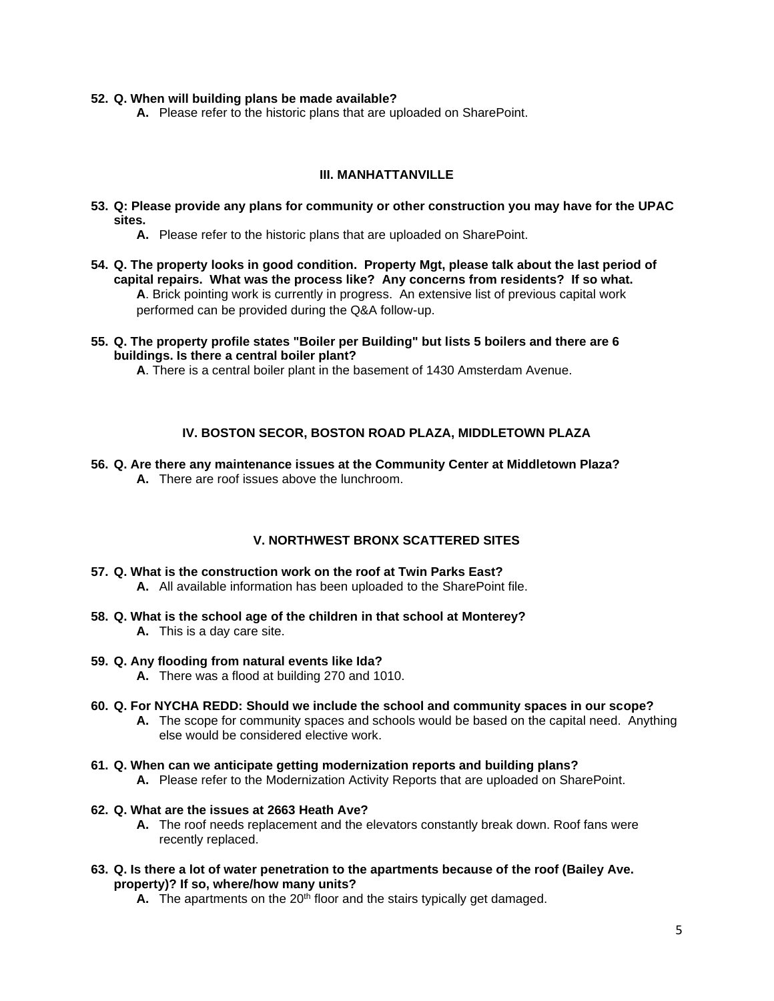#### **52. Q. When will building plans be made available?**

**A.** Please refer to the historic plans that are uploaded on SharePoint.

#### **III. MANHATTANVILLE**

- **53. Q: Please provide any plans for community or other construction you may have for the UPAC sites.**
	- **A.** Please refer to the historic plans that are uploaded on SharePoint.
- **54. Q. The property looks in good condition. Property Mgt, please talk about the last period of capital repairs. What was the process like? Any concerns from residents? If so what. A**. Brick pointing work is currently in progress. An extensive list of previous capital work performed can be provided during the Q&A follow-up.
- **55. Q. The property profile states "Boiler per Building" but lists 5 boilers and there are 6 buildings. Is there a central boiler plant?**

**A**. There is a central boiler plant in the basement of 1430 Amsterdam Avenue.

#### **IV. BOSTON SECOR, BOSTON ROAD PLAZA, MIDDLETOWN PLAZA**

**56. Q. Are there any maintenance issues at the Community Center at Middletown Plaza? A.** There are roof issues above the lunchroom.

#### **V. NORTHWEST BRONX SCATTERED SITES**

- **57. Q. What is the construction work on the roof at Twin Parks East?** 
	- **A.** All available information has been uploaded to the SharePoint file.
- **58. Q. What is the school age of the children in that school at Monterey? A.** This is a day care site.
- **59. Q. Any flooding from natural events like Ida?** 
	- **A.** There was a flood at building 270 and 1010.
- **60. Q. For NYCHA REDD: Should we include the school and community spaces in our scope?** 
	- **A.** The scope for community spaces and schools would be based on the capital need. Anything else would be considered elective work.
- **61. Q. When can we anticipate getting modernization reports and building plans?** 
	- **A.** Please refer to the Modernization Activity Reports that are uploaded on SharePoint.

#### **62. Q. What are the issues at 2663 Heath Ave?**

- **A.** The roof needs replacement and the elevators constantly break down. Roof fans were recently replaced.
- **63. Q. Is there a lot of water penetration to the apartments because of the roof (Bailey Ave. property)? If so, where/how many units?** 
	- **A.** The apartments on the 20<sup>th</sup> floor and the stairs typically get damaged.